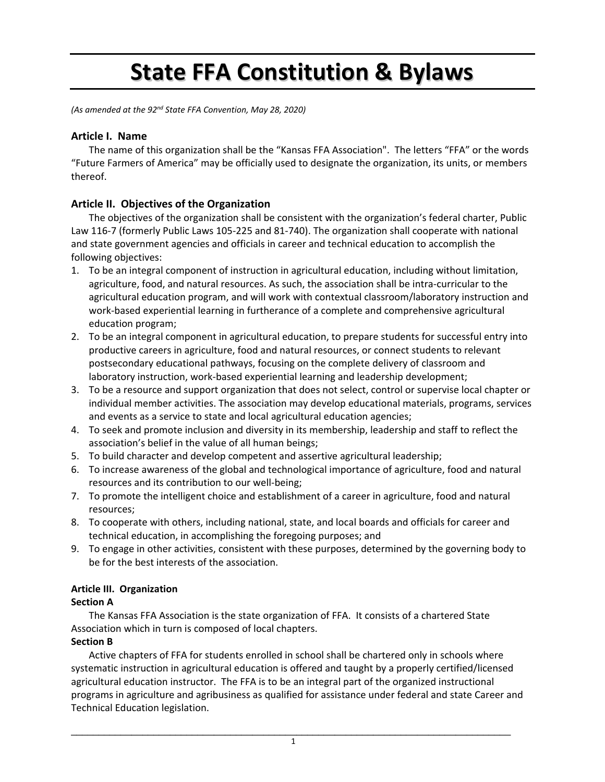# **State FFA Constitution & Bylaws**

*(As amended at the 92nd State FFA Convention, May 28, 2020)*

## **Article I. Name**

The name of this organization shall be the "Kansas FFA Association". The letters "FFA" or the words "Future Farmers of America" may be officially used to designate the organization, its units, or members thereof.

# **Article II. Objectives of the Organization**

The objectives of the organization shall be consistent with the organization's federal charter, Public Law 116‐7 (formerly Public Laws 105‐225 and 81‐740). The organization shall cooperate with national and state government agencies and officials in career and technical education to accomplish the following objectives:

- 1. To be an integral component of instruction in agricultural education, including without limitation, agriculture, food, and natural resources. As such, the association shall be intra‐curricular to the agricultural education program, and will work with contextual classroom/laboratory instruction and work‐based experiential learning in furtherance of a complete and comprehensive agricultural education program;
- 2. To be an integral component in agricultural education, to prepare students for successful entry into productive careers in agriculture, food and natural resources, or connect students to relevant postsecondary educational pathways, focusing on the complete delivery of classroom and laboratory instruction, work‐based experiential learning and leadership development;
- 3. To be a resource and support organization that does not select, control or supervise local chapter or individual member activities. The association may develop educational materials, programs, services and events as a service to state and local agricultural education agencies;
- 4. To seek and promote inclusion and diversity in its membership, leadership and staff to reflect the association's belief in the value of all human beings;
- 5. To build character and develop competent and assertive agricultural leadership;
- 6. To increase awareness of the global and technological importance of agriculture, food and natural resources and its contribution to our well‐being;
- 7. To promote the intelligent choice and establishment of a career in agriculture, food and natural resources;
- 8. To cooperate with others, including national, state, and local boards and officials for career and technical education, in accomplishing the foregoing purposes; and
- 9. To engage in other activities, consistent with these purposes, determined by the governing body to be for the best interests of the association.

# **Article III. Organization**

## **Section A**

The Kansas FFA Association is the state organization of FFA. It consists of a chartered State Association which in turn is composed of local chapters.

## **Section B**

Active chapters of FFA for students enrolled in school shall be chartered only in schools where systematic instruction in agricultural education is offered and taught by a properly certified/licensed agricultural education instructor. The FFA is to be an integral part of the organized instructional programs in agriculture and agribusiness as qualified for assistance under federal and state Career and Technical Education legislation.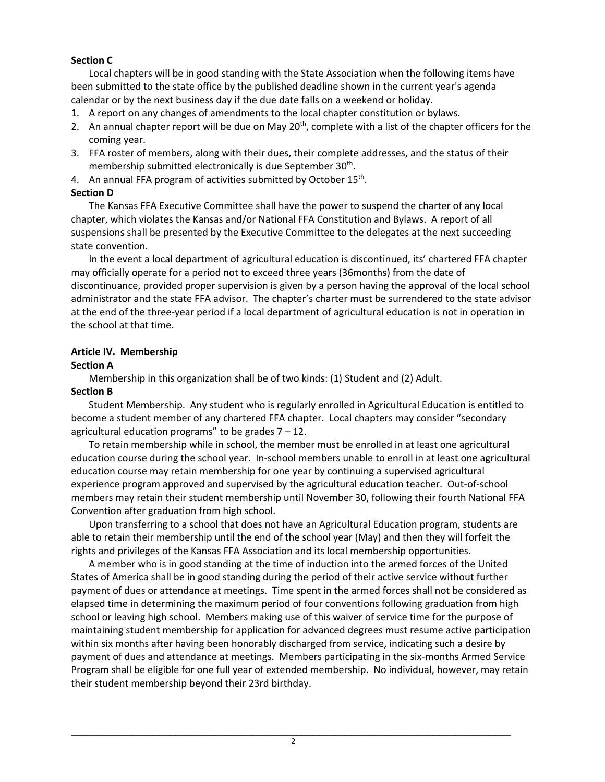## **Section C**

Local chapters will be in good standing with the State Association when the following items have been submitted to the state office by the published deadline shown in the current year's agenda calendar or by the next business day if the due date falls on a weekend or holiday.

- 1. A report on any changes of amendments to the local chapter constitution or bylaws.
- 2. An annual chapter report will be due on May  $20<sup>th</sup>$ , complete with a list of the chapter officers for the coming year.
- 3. FFA roster of members, along with their dues, their complete addresses, and the status of their membership submitted electronically is due September 30<sup>th</sup>.
- 4. An annual FFA program of activities submitted by October 15<sup>th</sup>.

## **Section D**

 The Kansas FFA Executive Committee shall have the power to suspend the charter of any local chapter, which violates the Kansas and/or National FFA Constitution and Bylaws. A report of all suspensions shall be presented by the Executive Committee to the delegates at the next succeeding state convention.

In the event a local department of agricultural education is discontinued, its' chartered FFA chapter may officially operate for a period not to exceed three years (36months) from the date of discontinuance, provided proper supervision is given by a person having the approval of the local school administrator and the state FFA advisor. The chapter's charter must be surrendered to the state advisor at the end of the three‐year period if a local department of agricultural education is not in operation in the school at that time.

## **Article IV. Membership**

## **Section A**

Membership in this organization shall be of two kinds: (1) Student and (2) Adult.

## **Section B**

Student Membership. Any student who is regularly enrolled in Agricultural Education is entitled to become a student member of any chartered FFA chapter. Local chapters may consider "secondary agricultural education programs" to be grades  $7 - 12$ .

To retain membership while in school, the member must be enrolled in at least one agricultural education course during the school year. In‐school members unable to enroll in at least one agricultural education course may retain membership for one year by continuing a supervised agricultural experience program approved and supervised by the agricultural education teacher. Out‐of‐school members may retain their student membership until November 30, following their fourth National FFA Convention after graduation from high school.

Upon transferring to a school that does not have an Agricultural Education program, students are able to retain their membership until the end of the school year (May) and then they will forfeit the rights and privileges of the Kansas FFA Association and its local membership opportunities.

A member who is in good standing at the time of induction into the armed forces of the United States of America shall be in good standing during the period of their active service without further payment of dues or attendance at meetings. Time spent in the armed forces shall not be considered as elapsed time in determining the maximum period of four conventions following graduation from high school or leaving high school. Members making use of this waiver of service time for the purpose of maintaining student membership for application for advanced degrees must resume active participation within six months after having been honorably discharged from service, indicating such a desire by payment of dues and attendance at meetings. Members participating in the six‐months Armed Service Program shall be eligible for one full year of extended membership. No individual, however, may retain their student membership beyond their 23rd birthday.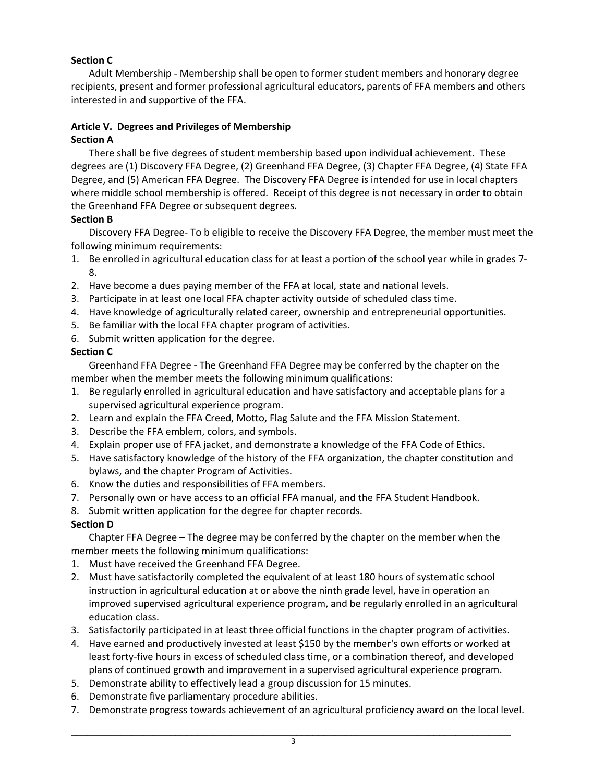## **Section C**

Adult Membership ‐ Membership shall be open to former student members and honorary degree recipients, present and former professional agricultural educators, parents of FFA members and others interested in and supportive of the FFA.

## **Article V. Degrees and Privileges of Membership Section A**

There shall be five degrees of student membership based upon individual achievement. These degrees are (1) Discovery FFA Degree, (2) Greenhand FFA Degree, (3) Chapter FFA Degree, (4) State FFA Degree, and (5) American FFA Degree. The Discovery FFA Degree is intended for use in local chapters where middle school membership is offered. Receipt of this degree is not necessary in order to obtain the Greenhand FFA Degree or subsequent degrees.

## **Section B**

Discovery FFA Degree‐ To b eligible to receive the Discovery FFA Degree, the member must meet the following minimum requirements:

- 1. Be enrolled in agricultural education class for at least a portion of the school year while in grades 7‐ 8.
- 2. Have become a dues paying member of the FFA at local, state and national levels.
- 3. Participate in at least one local FFA chapter activity outside of scheduled class time.
- 4. Have knowledge of agriculturally related career, ownership and entrepreneurial opportunities.
- 5. Be familiar with the local FFA chapter program of activities.
- 6. Submit written application for the degree.

## **Section C**

Greenhand FFA Degree ‐ The Greenhand FFA Degree may be conferred by the chapter on the member when the member meets the following minimum qualifications:

- 1. Be regularly enrolled in agricultural education and have satisfactory and acceptable plans for a supervised agricultural experience program.
- 2. Learn and explain the FFA Creed, Motto, Flag Salute and the FFA Mission Statement.
- 3. Describe the FFA emblem, colors, and symbols.
- 4. Explain proper use of FFA jacket, and demonstrate a knowledge of the FFA Code of Ethics.
- 5. Have satisfactory knowledge of the history of the FFA organization, the chapter constitution and bylaws, and the chapter Program of Activities.
- 6. Know the duties and responsibilities of FFA members.
- 7. Personally own or have access to an official FFA manual, and the FFA Student Handbook.
- 8. Submit written application for the degree for chapter records.

# **Section D**

Chapter FFA Degree – The degree may be conferred by the chapter on the member when the member meets the following minimum qualifications:

- 1. Must have received the Greenhand FFA Degree.
- 2. Must have satisfactorily completed the equivalent of at least 180 hours of systematic school instruction in agricultural education at or above the ninth grade level, have in operation an improved supervised agricultural experience program, and be regularly enrolled in an agricultural education class.
- 3. Satisfactorily participated in at least three official functions in the chapter program of activities.
- 4. Have earned and productively invested at least \$150 by the member's own efforts or worked at least forty‐five hours in excess of scheduled class time, or a combination thereof, and developed plans of continued growth and improvement in a supervised agricultural experience program.
- 5. Demonstrate ability to effectively lead a group discussion for 15 minutes.
- 6. Demonstrate five parliamentary procedure abilities.
- 7. Demonstrate progress towards achievement of an agricultural proficiency award on the local level.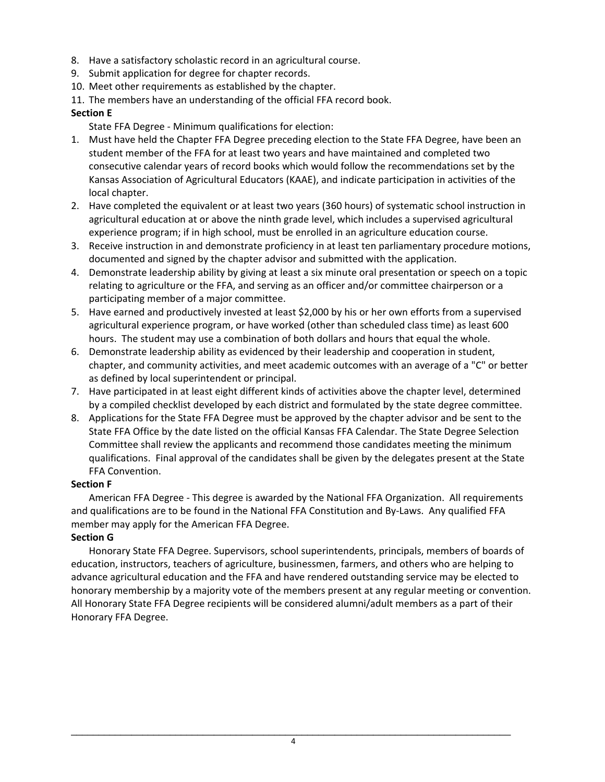- 8. Have a satisfactory scholastic record in an agricultural course.
- 9. Submit application for degree for chapter records.
- 10. Meet other requirements as established by the chapter.
- 11. The members have an understanding of the official FFA record book.

#### **Section E**

- State FFA Degree ‐ Minimum qualifications for election:
- 1. Must have held the Chapter FFA Degree preceding election to the State FFA Degree, have been an student member of the FFA for at least two years and have maintained and completed two consecutive calendar years of record books which would follow the recommendations set by the Kansas Association of Agricultural Educators (KAAE), and indicate participation in activities of the local chapter.
- 2. Have completed the equivalent or at least two years (360 hours) of systematic school instruction in agricultural education at or above the ninth grade level, which includes a supervised agricultural experience program; if in high school, must be enrolled in an agriculture education course.
- 3. Receive instruction in and demonstrate proficiency in at least ten parliamentary procedure motions, documented and signed by the chapter advisor and submitted with the application.
- 4. Demonstrate leadership ability by giving at least a six minute oral presentation or speech on a topic relating to agriculture or the FFA, and serving as an officer and/or committee chairperson or a participating member of a major committee.
- 5. Have earned and productively invested at least \$2,000 by his or her own efforts from a supervised agricultural experience program, or have worked (other than scheduled class time) as least 600 hours. The student may use a combination of both dollars and hours that equal the whole.
- 6. Demonstrate leadership ability as evidenced by their leadership and cooperation in student, chapter, and community activities, and meet academic outcomes with an average of a "C" or better as defined by local superintendent or principal.
- 7. Have participated in at least eight different kinds of activities above the chapter level, determined by a compiled checklist developed by each district and formulated by the state degree committee.
- 8. Applications for the State FFA Degree must be approved by the chapter advisor and be sent to the State FFA Office by the date listed on the official Kansas FFA Calendar. The State Degree Selection Committee shall review the applicants and recommend those candidates meeting the minimum qualifications. Final approval of the candidates shall be given by the delegates present at the State FFA Convention.

## **Section F**

American FFA Degree ‐ This degree is awarded by the National FFA Organization. All requirements and qualifications are to be found in the National FFA Constitution and By-Laws. Any qualified FFA member may apply for the American FFA Degree.

## **Section G**

Honorary State FFA Degree. Supervisors, school superintendents, principals, members of boards of education, instructors, teachers of agriculture, businessmen, farmers, and others who are helping to advance agricultural education and the FFA and have rendered outstanding service may be elected to honorary membership by a majority vote of the members present at any regular meeting or convention. All Honorary State FFA Degree recipients will be considered alumni/adult members as a part of their Honorary FFA Degree.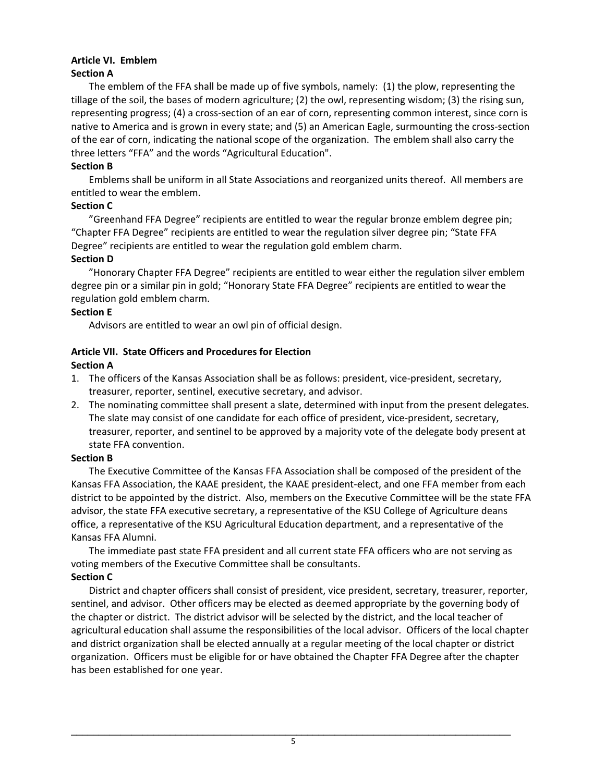#### **Article VI. Emblem Section A**

The emblem of the FFA shall be made up of five symbols, namely: (1) the plow, representing the tillage of the soil, the bases of modern agriculture; (2) the owl, representing wisdom; (3) the rising sun, representing progress; (4) a cross‐section of an ear of corn, representing common interest, since corn is native to America and is grown in every state; and (5) an American Eagle, surmounting the cross‐section of the ear of corn, indicating the national scope of the organization. The emblem shall also carry the three letters "FFA" and the words "Agricultural Education".

#### **Section B**

Emblems shall be uniform in all State Associations and reorganized units thereof. All members are entitled to wear the emblem.

## **Section C**

"Greenhand FFA Degree" recipients are entitled to wear the regular bronze emblem degree pin; "Chapter FFA Degree" recipients are entitled to wear the regulation silver degree pin; "State FFA Degree" recipients are entitled to wear the regulation gold emblem charm.

#### **Section D**

"Honorary Chapter FFA Degree" recipients are entitled to wear either the regulation silver emblem degree pin or a similar pin in gold; "Honorary State FFA Degree" recipients are entitled to wear the regulation gold emblem charm.

#### **Section E**

Advisors are entitled to wear an owl pin of official design.

#### **Article VII. State Officers and Procedures for Election**

#### **Section A**

- 1. The officers of the Kansas Association shall be as follows: president, vice‐president, secretary, treasurer, reporter, sentinel, executive secretary, and advisor.
- 2. The nominating committee shall present a slate, determined with input from the present delegates. The slate may consist of one candidate for each office of president, vice-president, secretary, treasurer, reporter, and sentinel to be approved by a majority vote of the delegate body present at state FFA convention.

#### **Section B**

The Executive Committee of the Kansas FFA Association shall be composed of the president of the Kansas FFA Association, the KAAE president, the KAAE president‐elect, and one FFA member from each district to be appointed by the district. Also, members on the Executive Committee will be the state FFA advisor, the state FFA executive secretary, a representative of the KSU College of Agriculture deans office, a representative of the KSU Agricultural Education department, and a representative of the Kansas FFA Alumni.

The immediate past state FFA president and all current state FFA officers who are not serving as voting members of the Executive Committee shall be consultants.

## **Section C**

District and chapter officers shall consist of president, vice president, secretary, treasurer, reporter, sentinel, and advisor. Other officers may be elected as deemed appropriate by the governing body of the chapter or district. The district advisor will be selected by the district, and the local teacher of agricultural education shall assume the responsibilities of the local advisor. Officers of the local chapter and district organization shall be elected annually at a regular meeting of the local chapter or district organization. Officers must be eligible for or have obtained the Chapter FFA Degree after the chapter has been established for one year.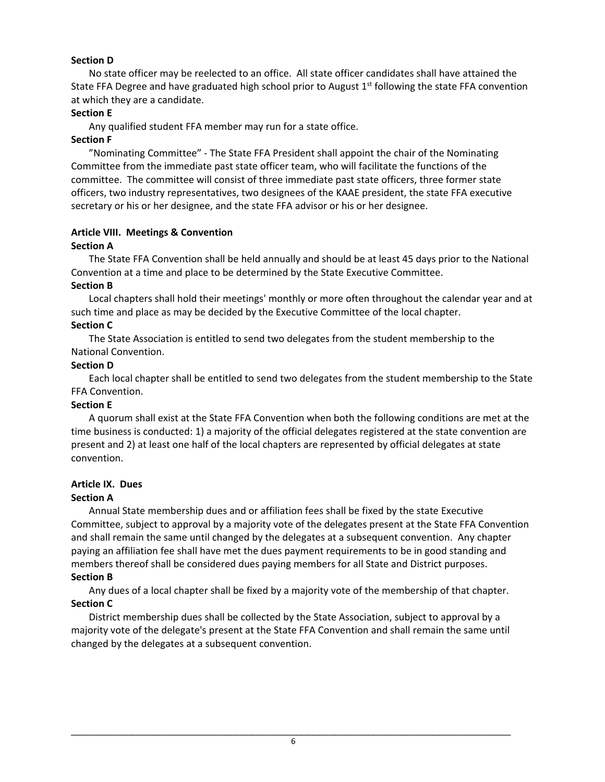## **Section D**

No state officer may be reelected to an office. All state officer candidates shall have attained the State FFA Degree and have graduated high school prior to August 1<sup>st</sup> following the state FFA convention at which they are a candidate.

## **Section E**

Any qualified student FFA member may run for a state office.

#### **Section F**

"Nominating Committee" ‐ The State FFA President shall appoint the chair of the Nominating Committee from the immediate past state officer team, who will facilitate the functions of the committee. The committee will consist of three immediate past state officers, three former state officers, two industry representatives, two designees of the KAAE president, the state FFA executive secretary or his or her designee, and the state FFA advisor or his or her designee.

## **Article VIII. Meetings & Convention**

#### **Section A**

The State FFA Convention shall be held annually and should be at least 45 days prior to the National Convention at a time and place to be determined by the State Executive Committee.

#### **Section B**

Local chapters shall hold their meetings' monthly or more often throughout the calendar year and at such time and place as may be decided by the Executive Committee of the local chapter.

#### **Section C**

The State Association is entitled to send two delegates from the student membership to the National Convention.

#### **Section D**

Each local chapter shall be entitled to send two delegates from the student membership to the State FFA Convention.

#### **Section E**

A quorum shall exist at the State FFA Convention when both the following conditions are met at the time business is conducted: 1) a majority of the official delegates registered at the state convention are present and 2) at least one half of the local chapters are represented by official delegates at state convention.

# **Article IX. Dues**

## **Section A**

Annual State membership dues and or affiliation fees shall be fixed by the state Executive Committee, subject to approval by a majority vote of the delegates present at the State FFA Convention and shall remain the same until changed by the delegates at a subsequent convention. Any chapter paying an affiliation fee shall have met the dues payment requirements to be in good standing and members thereof shall be considered dues paying members for all State and District purposes.

#### **Section B**

Any dues of a local chapter shall be fixed by a majority vote of the membership of that chapter. **Section C** 

District membership dues shall be collected by the State Association, subject to approval by a majority vote of the delegate's present at the State FFA Convention and shall remain the same until changed by the delegates at a subsequent convention.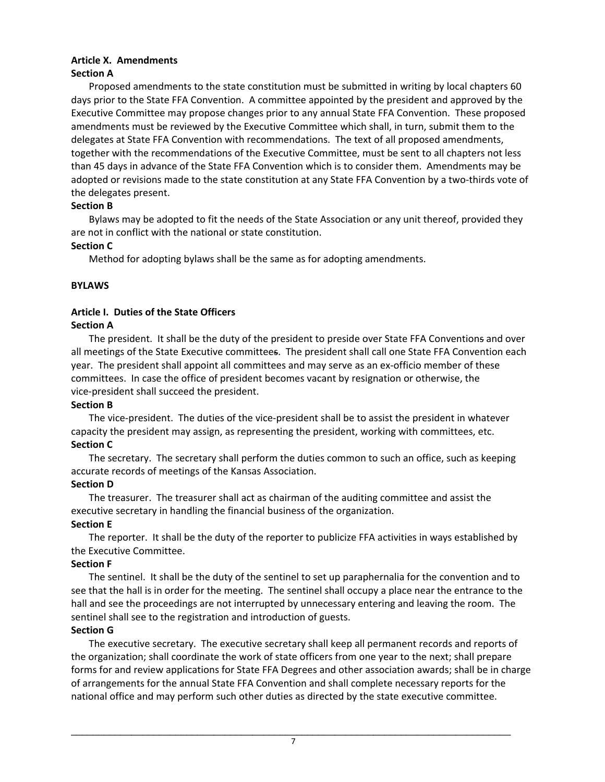#### **Article X. Amendments Section A**

Proposed amendments to the state constitution must be submitted in writing by local chapters 60 days prior to the State FFA Convention. A committee appointed by the president and approved by the Executive Committee may propose changes prior to any annual State FFA Convention. These proposed amendments must be reviewed by the Executive Committee which shall, in turn, submit them to the delegates at State FFA Convention with recommendations. The text of all proposed amendments, together with the recommendations of the Executive Committee, must be sent to all chapters not less than 45 days in advance of the State FFA Convention which is to consider them. Amendments may be adopted or revisions made to the state constitution at any State FFA Convention by a two‐thirds vote of the delegates present.

## **Section B**

Bylaws may be adopted to fit the needs of the State Association or any unit thereof, provided they are not in conflict with the national or state constitution.

## **Section C**

Method for adopting bylaws shall be the same as for adopting amendments.

## **BYLAWS**

# **Article I. Duties of the State Officers**

## **Section A**

The president. It shall be the duty of the president to preside over State FFA Conventions and over all meetings of the State Executive committees. The president shall call one State FFA Convention each year. The president shall appoint all committees and may serve as an ex-officio member of these committees. In case the office of president becomes vacant by resignation or otherwise, the vice‐president shall succeed the president.

## **Section B**

The vice-president. The duties of the vice-president shall be to assist the president in whatever capacity the president may assign, as representing the president, working with committees, etc. **Section C** 

The secretary. The secretary shall perform the duties common to such an office, such as keeping accurate records of meetings of the Kansas Association.

# **Section D**

The treasurer. The treasurer shall act as chairman of the auditing committee and assist the executive secretary in handling the financial business of the organization.

# **Section E**

The reporter. It shall be the duty of the reporter to publicize FFA activities in ways established by the Executive Committee.

## **Section F**

The sentinel. It shall be the duty of the sentinel to set up paraphernalia for the convention and to see that the hall is in order for the meeting. The sentinel shall occupy a place near the entrance to the hall and see the proceedings are not interrupted by unnecessary entering and leaving the room. The sentinel shall see to the registration and introduction of guests.

# **Section G**

The executive secretary. The executive secretary shall keep all permanent records and reports of the organization; shall coordinate the work of state officers from one year to the next; shall prepare forms for and review applications for State FFA Degrees and other association awards; shall be in charge of arrangements for the annual State FFA Convention and shall complete necessary reports for the national office and may perform such other duties as directed by the state executive committee.